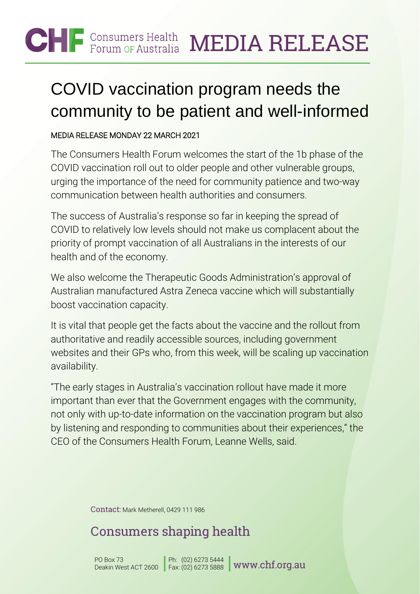#### **CHF** Consumers Health MEDIA RELEASE

# COVID vaccination program needs the community to be patient and well-informed

#### MEDIA RELEASE MONDAY 22 MARCH 2021

The Consumers Health Forum welcomes the start of the 1b phase of the COVID vaccination roll out to older people and other vulnerable groups, urging the importance of the need for community patience and two-way communication between health authorities and consumers.

The success of Australia's response so far in keeping the spread of COVID to relatively low levels should not make us complacent about the priority of prompt vaccination of all Australians in the interests of our health and of the economy.

We also welcome the Therapeutic Goods Administration's approval of Australian manufactured Astra Zeneca vaccine which will substantially boost vaccination capacity.

It is vital that people get the facts about the vaccine and the rollout from authoritative and readily accessible sources, including government websites and their GPs who, from this week, will be scaling up vaccination availability.

"The early stages in Australia's vaccination rollout have made it more important than ever that the Government engages with the community, not only with up-to-date information on the vaccination program but also by listening and responding to communities about their experiences," the CEO of the Consumers Health Forum, Leanne Wells, said.

Contact: Mark Metherell, 0429 111 986

## Consumers shaping health